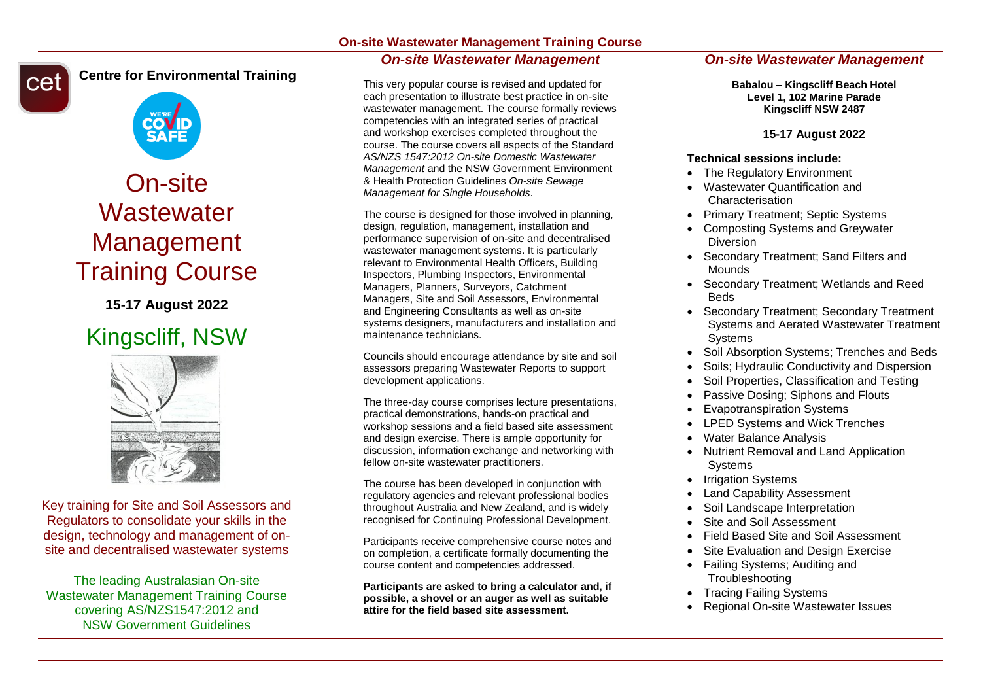# **On-site Wastewater Management Training Course** *On-site Wastewater Management*

**Centre for Environmental Training**cet



# On-site **Wastewater** Management Training Course

**15-17 August 2022**

# Kingscliff, NSW



Key training for Site and Soil Assessors and Regulators to consolidate your skills in the design, technology and management of onsite and decentralised wastewater systems

The leading Australasian On-site Wastewater Management Training Course covering AS/NZS1547:2012 and NSW Government Guidelines

#### This very popular course is revised and updated for each presentation to illustrate best practice in on-site wastewater management. The course formally reviews competencies with an integrated series of practical and workshop exercises completed throughout the course. The course covers all aspects of the Standard *AS/NZS 1547:2012 On-site Domestic Wastewater Management* and the NSW Government Environment & Health Protection Guidelines *On-site Sewage Management for Single Households*.

The course is designed for those involved in planning. design, regulation, management, installation and performance supervision of on-site and decentralised wastewater management systems. It is particularly relevant to Environmental Health Officers, Building Inspectors, Plumbing Inspectors, Environmental Managers, Planners, Surveyors, Catchment Managers, Site and Soil Assessors, Environmental and Engineering Consultants as well as on-site systems designers, manufacturers and installation and maintenance technicians.

Councils should encourage attendance by site and soil assessors preparing Wastewater Reports to support development applications.

The three-day course comprises lecture presentations, practical demonstrations, hands-on practical and workshop sessions and a field based site assessment and design exercise. There is ample opportunity for discussion, information exchange and networking with fellow on-site wastewater practitioners.

The course has been developed in conjunction with regulatory agencies and relevant professional bodies throughout Australia and New Zealand, and is widely recognised for Continuing Professional Development.

Participants receive comprehensive course notes and on completion, a certificate formally documenting the course content and competencies addressed.

**Participants are asked to bring a calculator and, if possible, a shovel or an auger as well as suitable attire for the field based site assessment.**

# *On-site Wastewater Management*

**Babalou – Kingscliff Beach Hotel Level 1, 102 Marine Parade Kingscliff NSW 2487**

### **15-17 August 2022**

#### **Technical sessions include:**

- The Regulatory Environment
- Wastewater Quantification and Characterisation
- Primary Treatment: Septic Systems
- Composting Systems and Greywater Diversion
- Secondary Treatment; Sand Filters and Mounds
- Secondary Treatment; Wetlands and Reed Beds
- Secondary Treatment; Secondary Treatment Systems and Aerated Wastewater Treatment Systems
- Soil Absorption Systems: Trenches and Beds
- Soils; Hydraulic Conductivity and Dispersion
- Soil Properties, Classification and Testing
- Passive Dosing; Siphons and Flouts
- Evapotranspiration Systems
- LPED Systems and Wick Trenches
- Water Balance Analysis
- Nutrient Removal and Land Application **Systems**
- Irrigation Systems
- Land Capability Assessment
- Soil Landscape Interpretation
- Site and Soil Assessment
- Field Based Site and Soil Assessment
- Site Evaluation and Design Exercise
- Failing Systems: Auditing and **Troubleshooting**
- Tracing Failing Systems
- Regional On-site Wastewater Issues